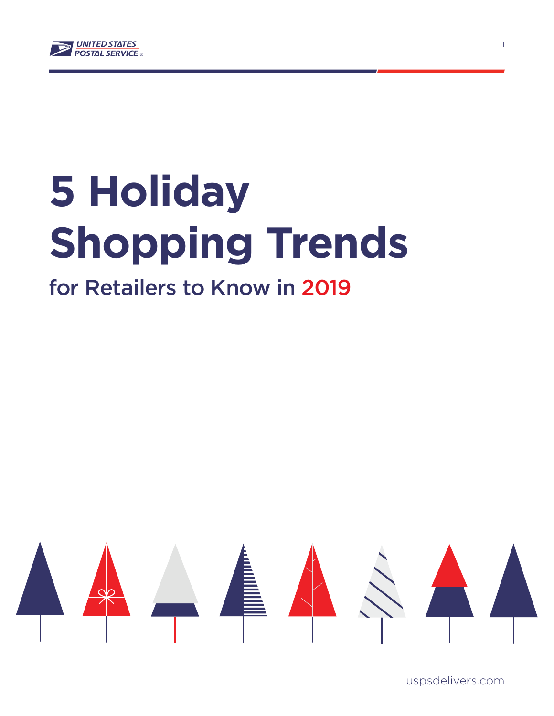

# **5 Holiday Shopping Trends**

## for Retailers to Know in 2019



uspsdelivers.com

1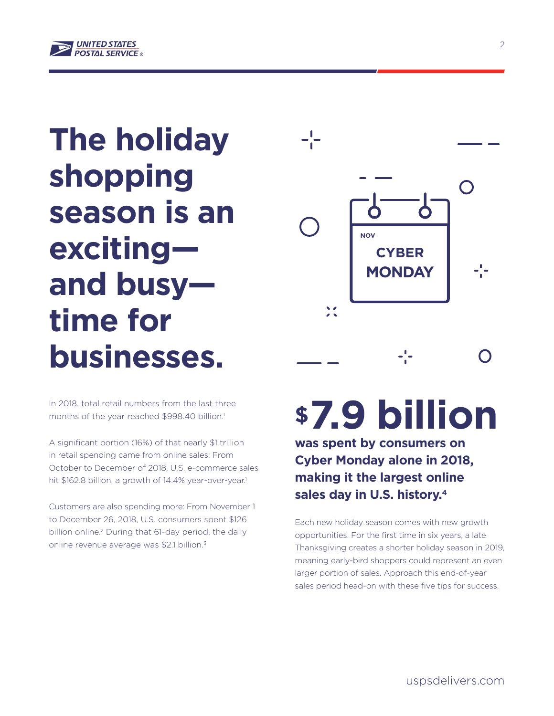

## **The holiday shopping season is an exciting and busy time for businesses.**

In 2018, total retail numbers from the last three months of the year reached \$998.40 billion.<sup>1</sup>

A significant portion (16%) of that nearly \$1 trillion in retail spending came from online sales: From October to December of 2018, U.S. e-commerce sales hit \$162.8 billion, a growth of 14.4% year-over-year.<sup>1</sup>

Customers are also spending more: From November 1 to December 26, 2018, U.S. consumers spent \$126 billion online.2 During that 61-day period, the daily online revenue average was \$2.1 billion.<sup>3</sup>



## **\$7.9 billion**

**was spent by consumers on Cyber Monday alone in 2018, making it the largest online sales day in U.S. history.4**

Each new holiday season comes with new growth opportunities. For the first time in six years, a late Thanksgiving creates a shorter holiday season in 2019, meaning early-bird shoppers could represent an even larger portion of sales. Approach this end-of-year sales period head-on with these five tips for success.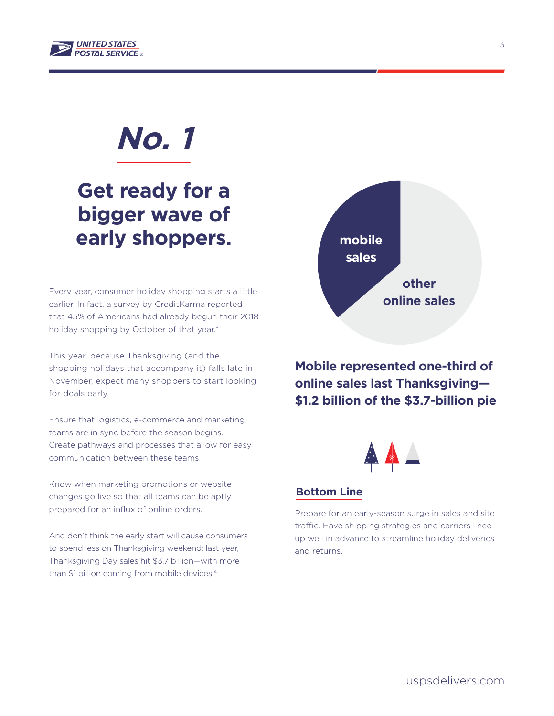

### **Get ready for a bigger wave of early shoppers.**

Every year, consumer holiday shopping starts a little earlier. In fact, a survey by CreditKarma reported that 45% of Americans had already begun their 2018 holiday shopping by October of that year.<sup>5</sup>

This year, because Thanksgiving (and the shopping holidays that accompany it) falls late in November, expect many shoppers to start looking for deals early.

Ensure that logistics, e-commerce and marketing teams are in sync before the season begins. Create pathways and processes that allow for easy communication between these teams.

Know when marketing promotions or website changes go live so that all teams can be aptly prepared for an influx of online orders.

And don't think the early start will cause consumers to spend less on Thanksgiving weekend: last year, Thanksgiving Day sales hit \$3.7 billion—with more than \$1 billion coming from mobile devices.<sup>4</sup>



**Mobile represented one-third of online sales last Thanksgiving— \$1.2 billion of the \$3.7-billion pie**



#### **Bottom Line**

Prepare for an early-season surge in sales and site traffic. Have shipping strategies and carriers lined up well in advance to streamline holiday deliveries and returns.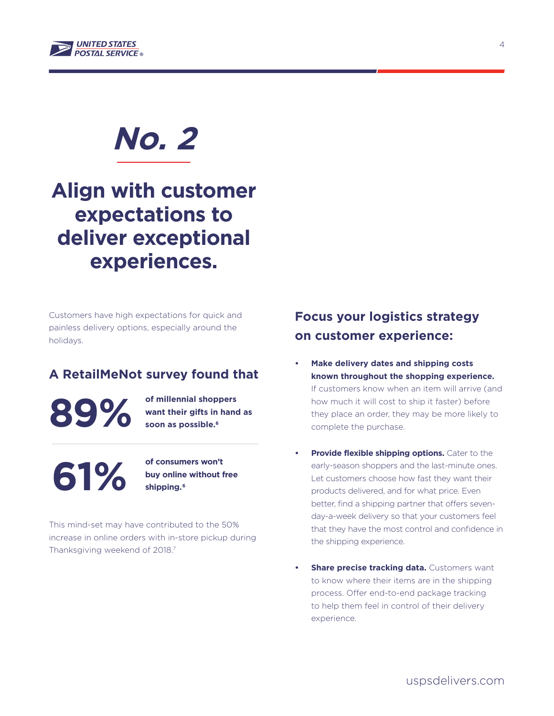

### **Align with customer expectations to deliver exceptional experiences.**

Customers have high expectations for quick and painless delivery options, especially around the holidays.

#### **A RetailMeNot survey found that**

**89%**

**of millennial shoppers want their gifts in hand as soon as possible.6**

**61%**

**of consumers won't buy online without free shipping. 6**

This mind-set may have contributed to the 50% increase in online orders with in-store pickup during Thanksgiving weekend of 2018.7

### **Focus your logistics strategy on customer experience:**

- **• Make delivery dates and shipping costs known throughout the shopping experience.**  If customers know when an item will arrive (and how much it will cost to ship it faster) before they place an order, they may be more likely to complete the purchase.
- **Provide flexible shipping options.** Cater to the early-season shoppers and the last-minute ones. Let customers choose how fast they want their products delivered, and for what price. Even better, find a shipping partner that offers sevenday-a-week delivery so that your customers feel that they have the most control and confidence in the shipping experience.
- **Share precise tracking data.** Customers want to know where their items are in the shipping process. Offer end-to-end package tracking to help them feel in control of their delivery experience.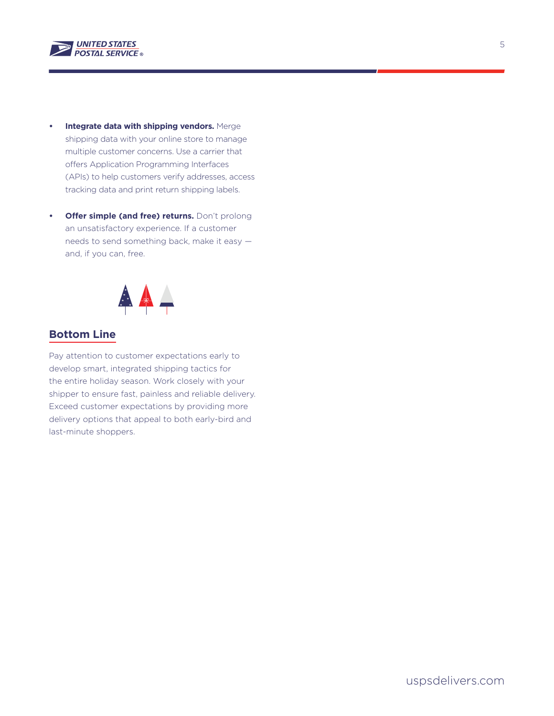

- **• Integrate data with shipping vendors.** Merge shipping data with your online store to manage multiple customer concerns. Use a carrier that offers Application Programming Interfaces (APIs) to help customers verify addresses, access tracking data and print return shipping labels.
- **• Offer simple (and free) returns.** Don't prolong an unsatisfactory experience. If a customer needs to send something back, make it easy and, if you can, free.



#### **Bottom Line**

Pay attention to customer expectations early to develop smart, integrated shipping tactics for the entire holiday season. Work closely with your shipper to ensure fast, painless and reliable delivery. Exceed customer expectations by providing more delivery options that appeal to both early-bird and last-minute shoppers.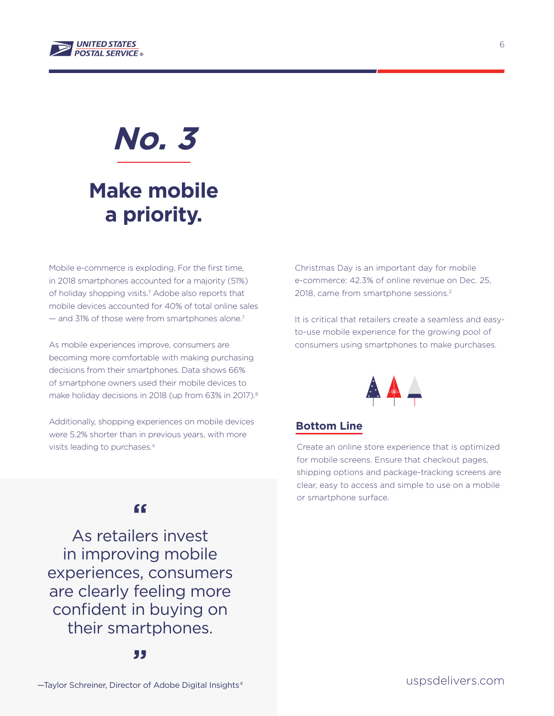

### **Make mobile a priority.**

Mobile e-commerce is exploding. For the first time, in 2018 smartphones accounted for a majority (51%) of holiday shopping visits.<sup>7</sup> Adobe also reports that mobile devices accounted for 40% of total online sales — and 31% of those were from smartphones alone.7

As mobile experiences improve, consumers are becoming more comfortable with making purchasing decisions from their smartphones. Data shows 66% of smartphone owners used their mobile devices to make holiday decisions in 2018 (up from 63% in 2017).<sup>8</sup>

Additionally, shopping experiences on mobile devices were 5.2% shorter than in previous years, with more visits leading to purchases.4

Christmas Day is an important day for mobile e-commerce: 42.3% of online revenue on Dec. 25, 2018, came from smartphone sessions.2

It is critical that retailers create a seamless and easyto-use mobile experience for the growing pool of consumers using smartphones to make purchases.



#### **Bottom Line**

Create an online store experience that is optimized for mobile screens. Ensure that checkout pages, shipping options and package-tracking screens are clear, easy to access and simple to use on a mobile or smartphone surface.

#### **"**

As retailers invest in improving mobile experiences, consumers are clearly feeling more confident in buying on their smartphones.

6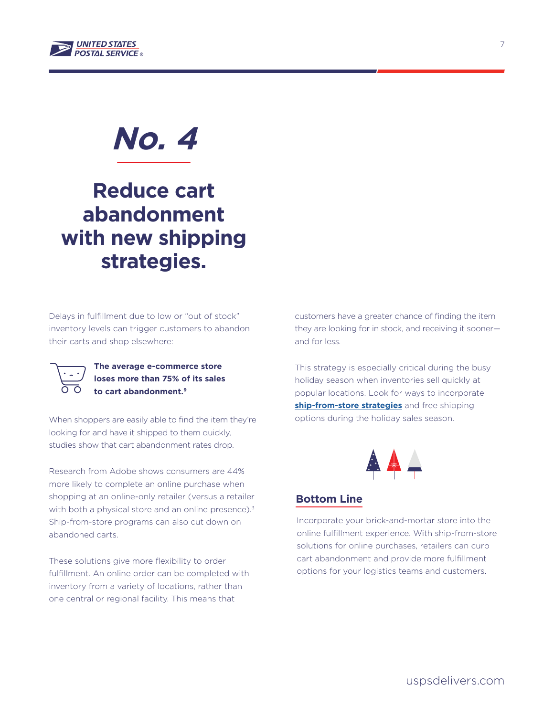

### **Reduce cart abandonment with new shipping strategies.**

Delays in fulfillment due to low or "out of stock" inventory levels can trigger customers to abandon their carts and shop elsewhere:



**The average e-commerce store loses more than 75% of its sales to cart abandonment.9**

When shoppers are easily able to find the item they're looking for and have it shipped to them quickly, studies show that cart abandonment rates drop.

Research from Adobe shows consumers are 44% more likely to complete an online purchase when shopping at an online-only retailer (versus a retailer with both a physical store and an online presence).<sup>3</sup> Ship-from-store programs can also cut down on abandoned carts.

These solutions give more flexibility to order fulfillment. An online order can be completed with inventory from a variety of locations, rather than one central or regional facility. This means that

customers have a greater chance of finding the item they are looking for in stock, and receiving it sooner and for less.

This strategy is especially critical during the busy holiday season when inventories sell quickly at popular locations. Look for ways to incorporate **[ship-from-store strategies](https://www.uspsdelivers.com/shipfromstore/#welcome)** and free shipping options during the holiday sales season.



#### **Bottom Line**

Incorporate your brick-and-mortar store into the online fulfillment experience. With ship-from-store solutions for online purchases, retailers can curb cart abandonment and provide more fulfillment options for your logistics teams and customers.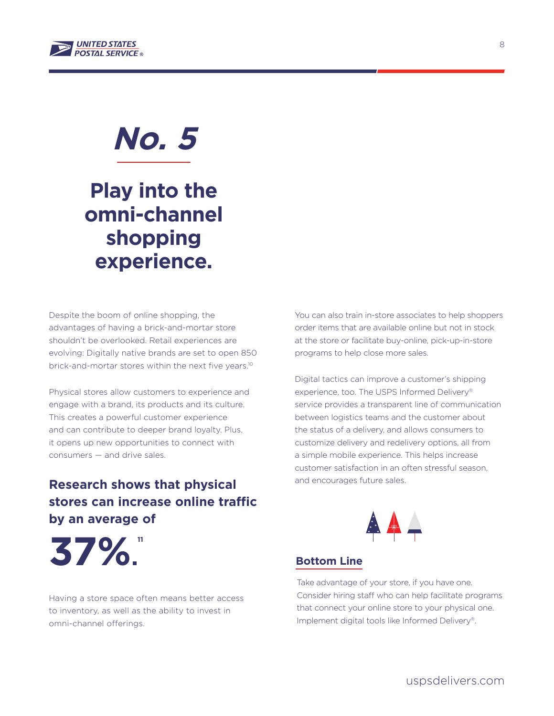

### **Play into the omni-channel shopping experience.**

Despite the boom of online shopping, the advantages of having a brick-and-mortar store shouldn't be overlooked. Retail experiences are evolving: Digitally native brands are set to open 850 brick-and-mortar stores within the next five years.<sup>10</sup>

Physical stores allow customers to experience and engage with a brand, its products and its culture. This creates a powerful customer experience and can contribute to deeper brand loyalty. Plus, it opens up new opportunities to connect with consumers — and drive sales.

### **Research shows that physical stores can increase online traffic by an average of**

You can also train in-store associates to help shoppers order items that are available online but not in stock at the store or facilitate buy-online, pick-up-in-store programs to help close more sales.

Digital tactics can improve a customer's shipping experience, too. The USPS Informed Delivery® service provides a transparent line of communication between logistics teams and the customer about the status of a delivery, and allows consumers to customize delivery and redelivery options, all from a simple mobile experience. This helps increase customer satisfaction in an often stressful season, and encourages future sales.



**37%. 11**

Having a store space often means better access to inventory, as well as the ability to invest in omni-channel offerings.

#### **Bottom Line**

Take advantage of your store, if you have one. Consider hiring staff who can help facilitate programs that connect your online store to your physical one. Implement digital tools like Informed Delivery®.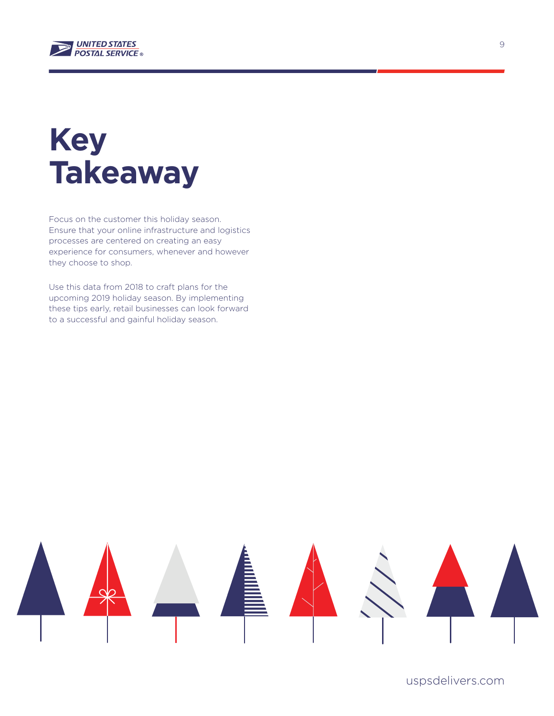

## **Key Takeaway**

Focus on the customer this holiday season. Ensure that your online infrastructure and logistics processes are centered on creating an easy experience for consumers, whenever and however they choose to shop.

Use this data from 2018 to craft plans for the upcoming 2019 holiday season. By implementing these tips early, retail businesses can look forward to a successful and gainful holiday season.



uspsdelivers.com